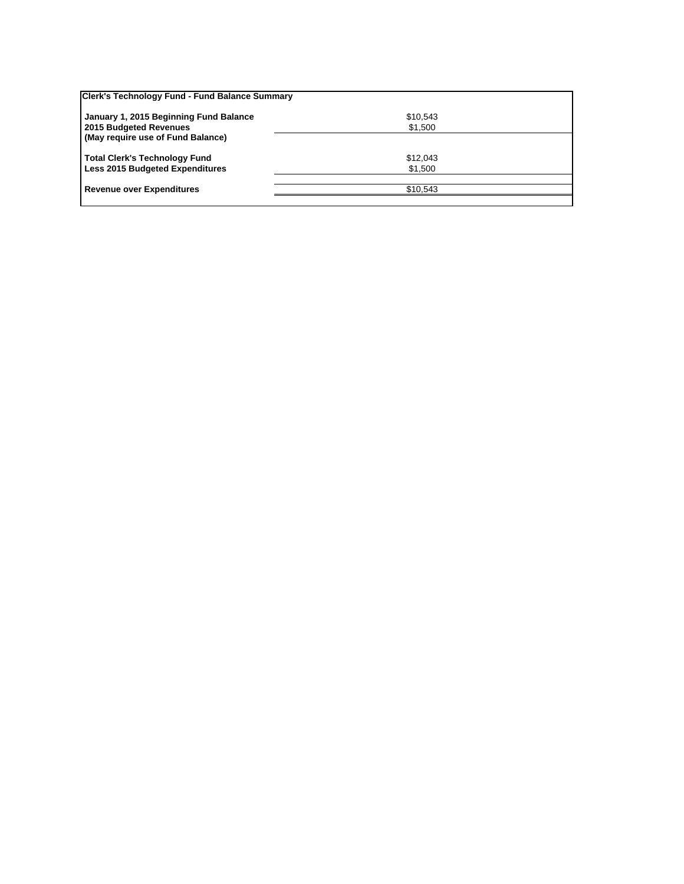| Clerk's Technology Fund - Fund Balance Summary |          |  |
|------------------------------------------------|----------|--|
| January 1, 2015 Beginning Fund Balance         | \$10,543 |  |
| 2015 Budgeted Revenues                         | \$1,500  |  |
| (May require use of Fund Balance)              |          |  |
| <b>Total Clerk's Technology Fund</b>           | \$12,043 |  |
| <b>Less 2015 Budgeted Expenditures</b>         | \$1,500  |  |
|                                                |          |  |
| <b>Revenue over Expenditures</b>               | \$10.543 |  |
|                                                |          |  |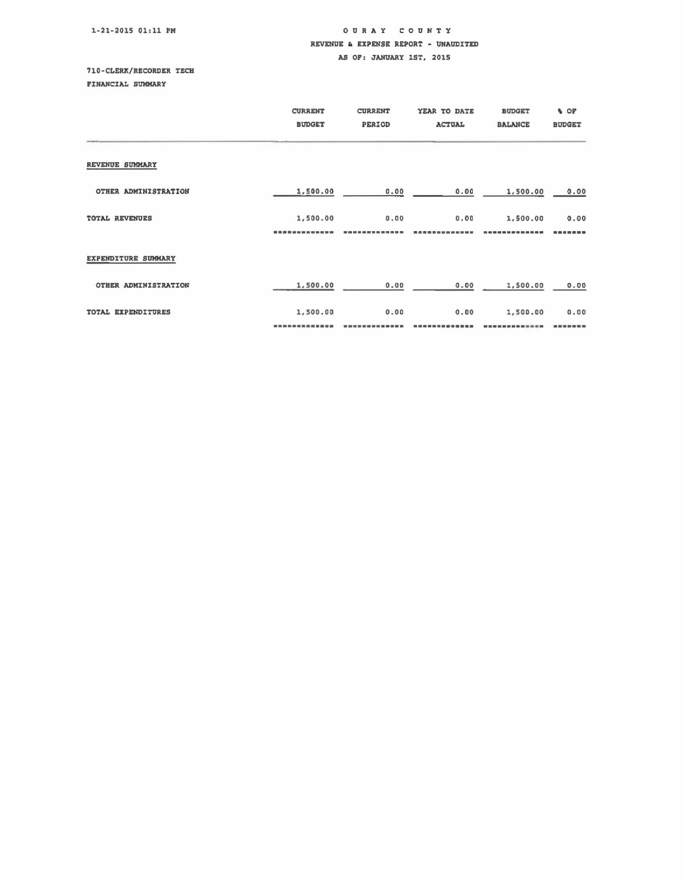1-21-2015 01:11 PM

## 00 RAY COUNTY REVENUE & EXPENSE REPORT - UNAUDITED

## AS OP: JANUARY 1ST, 2015

## <sup>710</sup> CLERX/RECORDER TECH

FINANCIAL SUMMARY

|                       | <b>CURRENT</b><br><b>BUDGET</b> | <b>CURRENT</b><br>PERIOD | YEAR TO DATE<br><b>ACTUAL</b> | <b>BUDGET</b><br><b>BALANCE</b> | % OF<br><b>BUDGET</b> |
|-----------------------|---------------------------------|--------------------------|-------------------------------|---------------------------------|-----------------------|
| REVENUE SUMMARY       |                                 |                          |                               |                                 |                       |
| OTHER ADMINISTRATION  | 1,500.00                        | 0.00                     | 0.00                          | 1,500.00                        | 0.00                  |
| <b>TOTAL REVENUES</b> | 1,500.00                        | 0.00                     | 0.00                          | 1,500.00                        | 0.00<br>              |
| EXPENDITURE SUMMARY   |                                 |                          |                               |                                 |                       |
| OTHER ADMINISTRATION  | 1,500.00                        | 0.00                     | 0.00                          | 1,500.00                        | 0.00                  |
| TOTAL EXPENDITURES    | 1,500.00                        | 0.00                     | 0.00                          | 1,500.00                        | 0.00                  |
|                       |                                 |                          |                               |                                 | -----                 |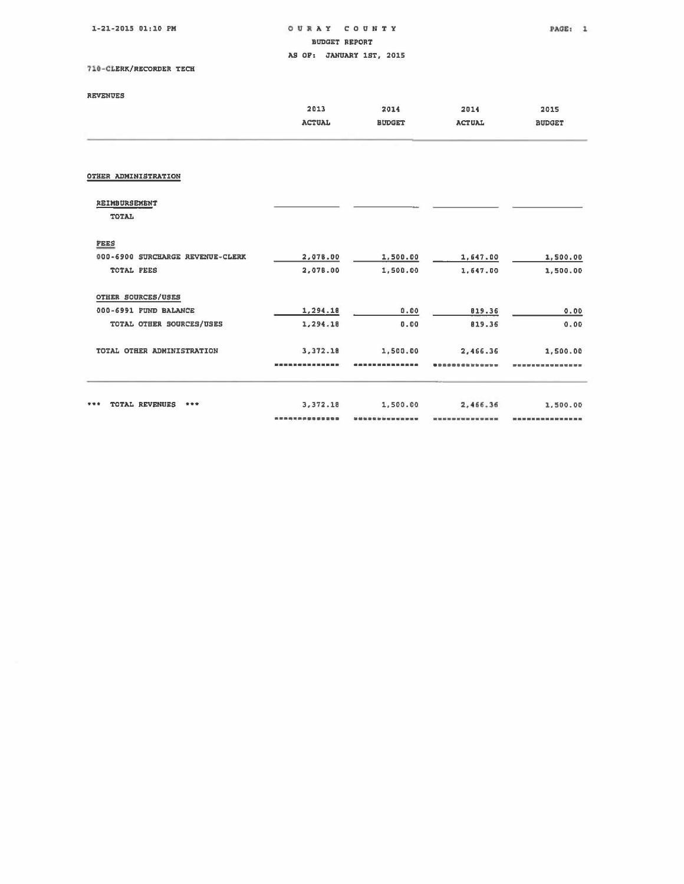| 1-21-2015 01:10 PM                  | OURAY<br>COUNTY<br><b>BUDGET REPORT</b> |                                                                               |                 | PAGE:<br>-1    |
|-------------------------------------|-----------------------------------------|-------------------------------------------------------------------------------|-----------------|----------------|
|                                     |                                         | AS OF: JANUARY 1ST. 2015                                                      |                 |                |
| 710-CLERK/RECORDER TECH             |                                         |                                                                               |                 |                |
| <b>REVENUES</b>                     |                                         |                                                                               |                 |                |
|                                     | 2013                                    | 2014                                                                          | 2014            | 2015           |
|                                     | <b>ACTUAL</b>                           | <b>BUDGET</b>                                                                 | <b>ACTUAL</b>   | <b>BUDGET</b>  |
| OTHER ADMINISTRATION                |                                         |                                                                               |                 |                |
| REIMBURSEMENT                       |                                         |                                                                               |                 |                |
| TOTAL                               |                                         |                                                                               |                 |                |
| <b>FEES</b>                         |                                         |                                                                               |                 |                |
| 000-6900 SURCHARGE REVENUE-CLERK    | 2,078.00                                | 1,500.00                                                                      | 1,647.00        | 1,500.00       |
| TOTAL FEES                          | 2,078.00                                | 1.500.00                                                                      | 1,647.00        | 1,500.00       |
| OTHER SOURCES/USES                  |                                         |                                                                               |                 |                |
| 000-6991 FUND BALANCE               | 1,294.18                                | 0.00                                                                          | 819.36          | 0.00           |
| TOTAL OTHER SOURCES/USES            | 1,294.18                                | 0.00                                                                          | 819.36          | 0.00           |
| TOTAL OTHER ADMINISTRATION          | 3,372.18                                | 1,500.00                                                                      | 2,466.36        | 1,500.00       |
|                                     | ---------------                         |                                                                               |                 |                |
| <b>TOTAL REVENUES</b><br>***<br>*** | 3,372.18                                | 1,500.00                                                                      | 2,466.36        | 1,500.00       |
|                                     | --------------                          | \$4,000 for \$4,000 for \$40 for \$40 for \$40 for \$40 for \$40 for \$40 for | --------------- | -------------- |